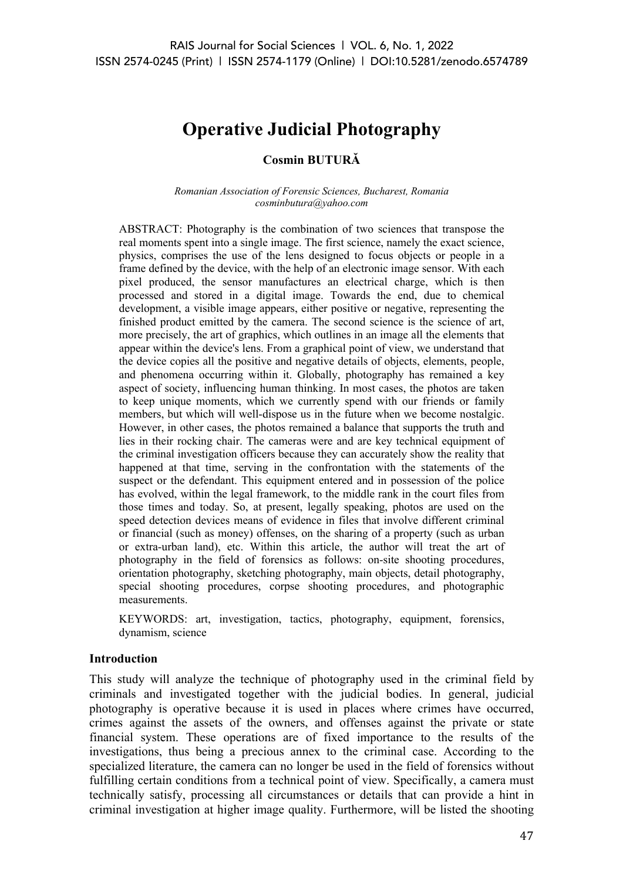# **Operative Judicial Photography**

## **Cosmin BUTURĂ**

*Romanian Association of Forensic Sciences, Bucharest, Romania cosminbutura@yahoo.com*

ABSTRACT: Photography is the combination of two sciences that transpose the real moments spent into a single image. The first science, namely the exact science, physics, comprises the use of the lens designed to focus objects or people in a frame defined by the device, with the help of an electronic image sensor. With each pixel produced, the sensor manufactures an electrical charge, which is then processed and stored in a digital image. Towards the end, due to chemical development, a visible image appears, either positive or negative, representing the finished product emitted by the camera. The second science is the science of art, more precisely, the art of graphics, which outlines in an image all the elements that appear within the device's lens. From a graphical point of view, we understand that the device copies all the positive and negative details of objects, elements, people, and phenomena occurring within it. Globally, photography has remained a key aspect of society, influencing human thinking. In most cases, the photos are taken to keep unique moments, which we currently spend with our friends or family members, but which will well-dispose us in the future when we become nostalgic. However, in other cases, the photos remained a balance that supports the truth and lies in their rocking chair. The cameras were and are key technical equipment of the criminal investigation officers because they can accurately show the reality that happened at that time, serving in the confrontation with the statements of the suspect or the defendant. This equipment entered and in possession of the police has evolved, within the legal framework, to the middle rank in the court files from those times and today. So, at present, legally speaking, photos are used on the speed detection devices means of evidence in files that involve different criminal or financial (such as money) offenses, on the sharing of a property (such as urban or extra-urban land), etc. Within this article, the author will treat the art of photography in the field of forensics as follows: on-site shooting procedures, orientation photography, sketching photography, main objects, detail photography, special shooting procedures, corpse shooting procedures, and photographic measurements.

KEYWORDS: art, investigation, tactics, photography, equipment, forensics, dynamism, science

#### **Introduction**

This study will analyze the technique of photography used in the criminal field by criminals and investigated together with the judicial bodies. In general, judicial photography is operative because it is used in places where crimes have occurred, crimes against the assets of the owners, and offenses against the private or state financial system. These operations are of fixed importance to the results of the investigations, thus being a precious annex to the criminal case. According to the specialized literature, the camera can no longer be used in the field of forensics without fulfilling certain conditions from a technical point of view. Specifically, a camera must technically satisfy, processing all circumstances or details that can provide a hint in criminal investigation at higher image quality. Furthermore, will be listed the shooting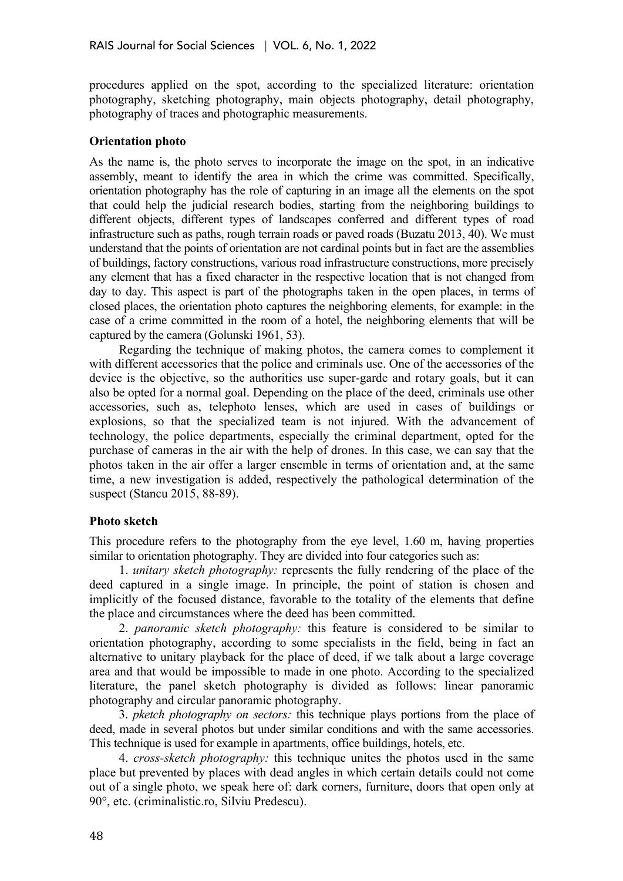procedures applied on the spot, according to the specialized literature: orientation photography, sketching photography, main objects photography, detail photography, photography of traces and photographic measurements.

### **Orientation photo**

As the name is, the photo serves to incorporate the image on the spot, in an indicative assembly, meant to identify the area in which the crime was committed. Specifically, orientation photography has the role of capturing in an image all the elements on the spot that could help the judicial research bodies, starting from the neighboring buildings to different objects, different types of landscapes conferred and different types of road infrastructure such as paths, rough terrain roads or paved roads (Buzatu 2013, 40). We must understand that the points of orientation are not cardinal points but in fact are the assemblies of buildings, factory constructions, various road infrastructure constructions, more precisely any element that has a fixed character in the respective location that is not changed from day to day. This aspect is part of the photographs taken in the open places, in terms of closed places, the orientation photo captures the neighboring elements, for example: in the case of a crime committed in the room of a hotel, the neighboring elements that will be captured by the camera (Golunski 1961, 53).

Regarding the technique of making photos, the camera comes to complement it with different accessories that the police and criminals use. One of the accessories of the device is the objective, so the authorities use super-garde and rotary goals, but it can also be opted for a normal goal. Depending on the place of the deed, criminals use other accessories, such as, telephoto lenses, which are used in cases of buildings or explosions, so that the specialized team is not injured. With the advancement of technology, the police departments, especially the criminal department, opted for the purchase of cameras in the air with the help of drones. In this case, we can say that the photos taken in the air offer a larger ensemble in terms of orientation and, at the same time, a new investigation is added, respectively the pathological determination of the suspect (Stancu 2015, 88-89).

## **Photo sketch**

This procedure refers to the photography from the eye level, 1.60 m, having properties similar to orientation photography. They are divided into four categories such as:

1. *unitary sketch photography:* represents the fully rendering of the place of the deed captured in a single image. In principle, the point of station is chosen and implicitly of the focused distance, favorable to the totality of the elements that define the place and circumstances where the deed has been committed.

2. *panoramic sketch photography:* this feature is considered to be similar to orientation photography, according to some specialists in the field, being in fact an alternative to unitary playback for the place of deed, if we talk about a large coverage area and that would be impossible to made in one photo. According to the specialized literature, the panel sketch photography is divided as follows: linear panoramic photography and circular panoramic photography.

3. *pketch photography on sectors:* this technique plays portions from the place of deed, made in several photos but under similar conditions and with the same accessories. This technique is used for example in apartments, office buildings, hotels, etc.

4. *cross-sketch photography:* this technique unites the photos used in the same place but prevented by places with dead angles in which certain details could not come out of a single photo, we speak here of: dark corners, furniture, doors that open only at 90°, etc. (criminalistic.ro, Silviu Predescu).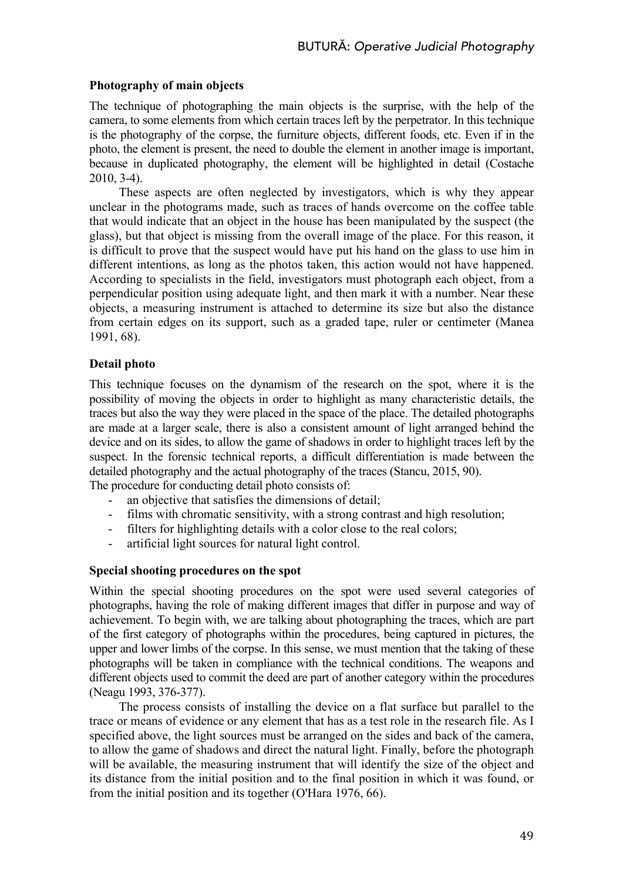## **Photography of main objects**

The technique of photographing the main objects is the surprise, with the help of the camera, to some elements from which certain traces left by the perpetrator. In this technique is the photography of the corpse, the furniture objects, different foods, etc. Even if in the photo, the element is present, the need to double the element in another image is important, because in duplicated photography, the element will be highlighted in detail (Costache 2010, 3-4).

These aspects are often neglected by investigators, which is why they appear unclear in the photograms made, such as traces of hands overcome on the coffee table that would indicate that an object in the house has been manipulated by the suspect (the glass), but that object is missing from the overall image of the place. For this reason, it is difficult to prove that the suspect would have put his hand on the glass to use him in different intentions, as long as the photos taken, this action would not have happened. According to specialists in the field, investigators must photograph each object, from a perpendicular position using adequate light, and then mark it with a number. Near these objects, a measuring instrument is attached to determine its size but also the distance from certain edges on its support, such as a graded tape, ruler or centimeter (Manea 1991, 68).

## **Detail photo**

This technique focuses on the dynamism of the research on the spot, where it is the possibility of moving the objects in order to highlight as many characteristic details, the traces but also the way they were placed in the space of the place. The detailed photographs are made at a larger scale, there is also a consistent amount of light arranged behind the device and on its sides, to allow the game of shadows in order to highlight traces left by the suspect. In the forensic technical reports, a difficult differentiation is made between the detailed photography and the actual photography of the traces (Stancu, 2015, 90).

The procedure for conducting detail photo consists of:

- an objective that satisfies the dimensions of detail;
- films with chromatic sensitivity, with a strong contrast and high resolution;
- filters for highlighting details with a color close to the real colors;
- artificial light sources for natural light control.

#### **Special shooting procedures on the spot**

Within the special shooting procedures on the spot were used several categories of photographs, having the role of making different images that differ in purpose and way of achievement. To begin with, we are talking about photographing the traces, which are part of the first category of photographs within the procedures, being captured in pictures, the upper and lower limbs of the corpse. In this sense, we must mention that the taking of these photographs will be taken in compliance with the technical conditions. The weapons and different objects used to commit the deed are part of another category within the procedures (Neagu 1993, 376-377).

The process consists of installing the device on a flat surface but parallel to the trace or means of evidence or any element that has as a test role in the research file. As I specified above, the light sources must be arranged on the sides and back of the camera, to allow the game of shadows and direct the natural light. Finally, before the photograph will be available, the measuring instrument that will identify the size of the object and its distance from the initial position and to the final position in which it was found, or from the initial position and its together (O'Hara 1976, 66).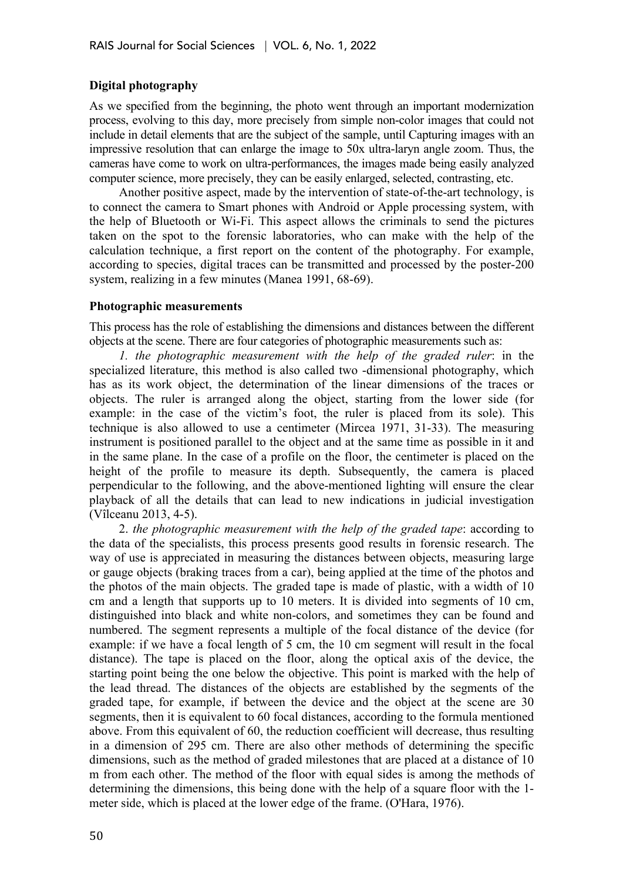## **Digital photography**

As we specified from the beginning, the photo went through an important modernization process, evolving to this day, more precisely from simple non-color images that could not include in detail elements that are the subject of the sample, until Capturing images with an impressive resolution that can enlarge the image to 50x ultra-laryn angle zoom. Thus, the cameras have come to work on ultra-performances, the images made being easily analyzed computer science, more precisely, they can be easily enlarged, selected, contrasting, etc.

Another positive aspect, made by the intervention of state-of-the-art technology, is to connect the camera to Smart phones with Android or Apple processing system, with the help of Bluetooth or Wi-Fi. This aspect allows the criminals to send the pictures taken on the spot to the forensic laboratories, who can make with the help of the calculation technique, a first report on the content of the photography. For example, according to species, digital traces can be transmitted and processed by the poster-200 system, realizing in a few minutes (Manea 1991, 68-69).

#### **Photographic measurements**

This process has the role of establishing the dimensions and distances between the different objects at the scene. There are four categories of photographic measurements such as:

*1. the photographic measurement with the help of the graded ruler*: in the specialized literature, this method is also called two -dimensional photography, which has as its work object, the determination of the linear dimensions of the traces or objects. The ruler is arranged along the object, starting from the lower side (for example: in the case of the victim's foot, the ruler is placed from its sole). This technique is also allowed to use a centimeter (Mircea 1971, 31-33). The measuring instrument is positioned parallel to the object and at the same time as possible in it and in the same plane. In the case of a profile on the floor, the centimeter is placed on the height of the profile to measure its depth. Subsequently, the camera is placed perpendicular to the following, and the above-mentioned lighting will ensure the clear playback of all the details that can lead to new indications in judicial investigation (Vîlceanu 2013, 4-5).

2. *the photographic measurement with the help of the graded tape*: according to the data of the specialists, this process presents good results in forensic research. The way of use is appreciated in measuring the distances between objects, measuring large or gauge objects (braking traces from a car), being applied at the time of the photos and the photos of the main objects. The graded tape is made of plastic, with a width of 10 cm and a length that supports up to 10 meters. It is divided into segments of 10 cm, distinguished into black and white non-colors, and sometimes they can be found and numbered. The segment represents a multiple of the focal distance of the device (for example: if we have a focal length of 5 cm, the 10 cm segment will result in the focal distance). The tape is placed on the floor, along the optical axis of the device, the starting point being the one below the objective. This point is marked with the help of the lead thread. The distances of the objects are established by the segments of the graded tape, for example, if between the device and the object at the scene are 30 segments, then it is equivalent to 60 focal distances, according to the formula mentioned above. From this equivalent of 60, the reduction coefficient will decrease, thus resulting in a dimension of 295 cm. There are also other methods of determining the specific dimensions, such as the method of graded milestones that are placed at a distance of 10 m from each other. The method of the floor with equal sides is among the methods of determining the dimensions, this being done with the help of a square floor with the 1 meter side, which is placed at the lower edge of the frame. (O'Hara, 1976).